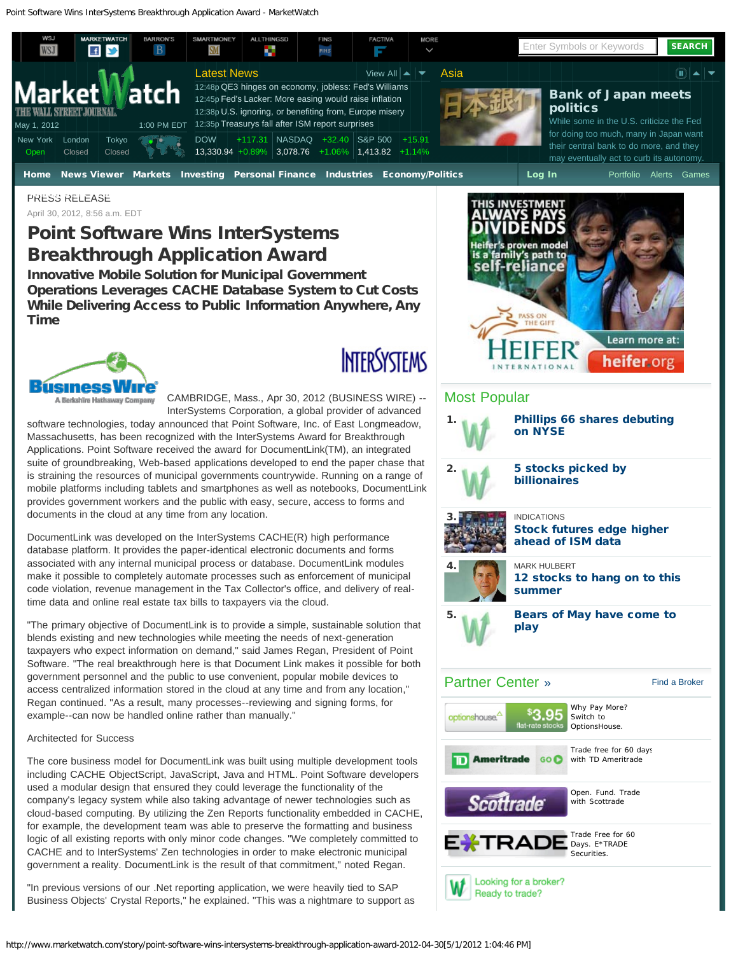

### PRESS RELEASE April 30, 2012, 8:56 a.m. EDT

# Point Software Wins InterSystems Breakthrough Application Award

Innovative Mobile Solution for Municipal Government Operations Leverages CACHE Database System to Cut Costs While Delivering Access to Public Information Anywhere, Any Time



**INTERSYSTEMS** 

CAMBRIDGE, Mass., Apr 30, 2012 (BUSINESS WIRE) -- A Berkshire Hathaway Company InterSystems Corporation, a global provider of advanced software technologies, today announced that Point Software, Inc. of East Longmeadow, Massachusetts, has been recognized with the InterSystems Award for Breakthrough Applications. Point Software received the award for DocumentLink(TM), an integrated suite of groundbreaking, Web-based applications developed to end the paper chase that is straining the resources of municipal governments countrywide. Running on a range of mobile platforms including tablets and smartphones as well as notebooks, DocumentLink provides government workers and the public with easy, secure, access to forms and documents in the cloud at any time from any location.

DocumentLink was developed on the InterSystems CACHE(R) high performance database platform. It provides the paper-identical electronic documents and forms associated with any internal municipal process or database. DocumentLink modules make it possible to completely automate processes such as enforcement of municipal code violation, revenue management in the Tax Collector's office, and delivery of realtime data and online real estate tax bills to taxpayers via the cloud.

"The primary objective of DocumentLink is to provide a simple, sustainable solution that blends existing and new technologies while meeting the needs of next-generation taxpayers who expect information on demand," said James Regan, President of Point Software. "The real breakthrough here is that Document Link makes it possible for both government personnel and the public to use convenient, popular mobile devices to access centralized information stored in the cloud at any time and from any location," Regan continued. "As a result, many processes--reviewing and signing forms, for example--can now be handled online rather than manually."

## Architected for Success

The core business model for DocumentLink was built using multiple development tools including CACHE ObjectScript, JavaScript, Java and HTML. Point Software developers used a modular design that ensured they could leverage the functionality of the company's legacy system while also taking advantage of newer technologies such as cloud-based computing. By utilizing the Zen Reports functionality embedded in CACHE, for example, the development team was able to preserve the formatting and business logic of all existing reports with only minor code changes. "We completely committed to CACHE and to InterSystems' Zen technologies in order to make electronic municipal government a reality. DocumentLink is the result of that commitment," noted Regan.

"In previous versions of our .Net reporting application, we were heavily tied to SAP Business Objects' Crystal Reports," he explained. "This was a nightmare to support as



# Most Popular

| 1.                        | <b>Phillips 66 shares debuting</b><br>on NYSE                               |                                                   |                      |  |  |  |
|---------------------------|-----------------------------------------------------------------------------|---------------------------------------------------|----------------------|--|--|--|
| 2.                        | 5 stocks picked by<br><b>billionaires</b>                                   |                                                   |                      |  |  |  |
|                           | <b>INDICATIONS</b><br><b>Stock futures edge higher</b><br>ahead of ISM data |                                                   |                      |  |  |  |
| 4.                        | <b>MARK HULBERT</b><br>12 stocks to hang on to this<br>summer               |                                                   |                      |  |  |  |
| 5.                        | Bears of May have come to<br>play                                           |                                                   |                      |  |  |  |
| <b>Partner Center »</b>   |                                                                             |                                                   | <b>Find a Broker</b> |  |  |  |
| optionshouse <sup>4</sup> | flat-rate stocks                                                            | Why Pay More?<br>Switch to<br>OptionsHouse.       |                      |  |  |  |
|                           |                                                                             |                                                   |                      |  |  |  |
| <b>D</b> Ameritrade       | GO <sup>O</sup>                                                             | Trade free for 60 days<br>with TD Ameritrade      |                      |  |  |  |
| <b>Scottrade</b>          |                                                                             | Open. Fund. Trade<br>with Scottrade               |                      |  |  |  |
| E <b>米TRADE</b>           |                                                                             | Trade Free for 60<br>Days. E*TRADE<br>Securities. |                      |  |  |  |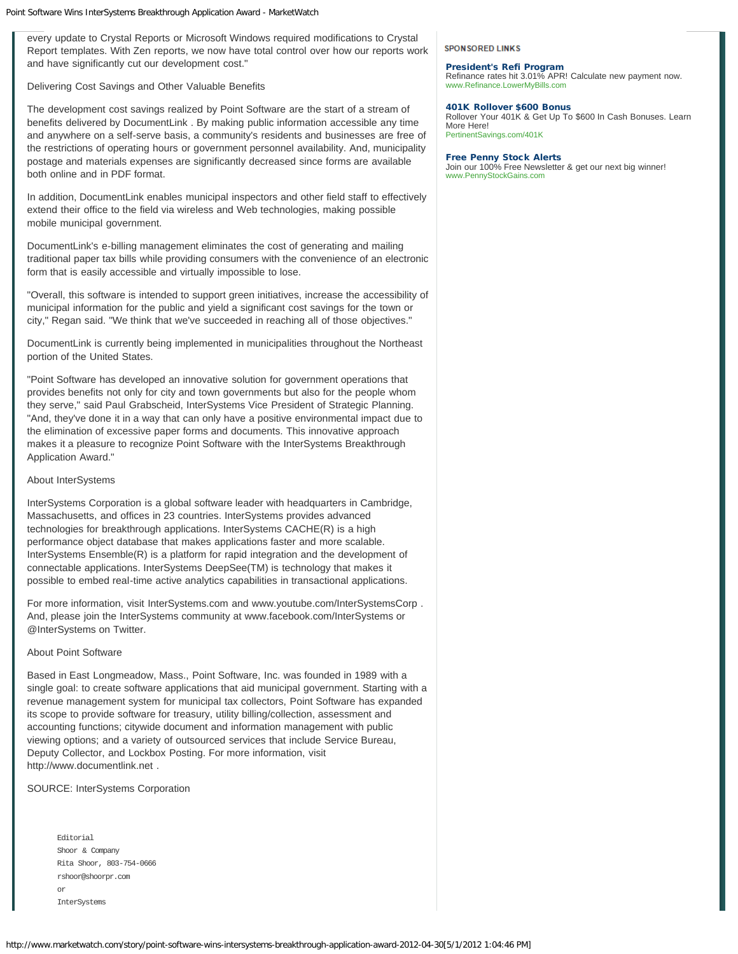every update to Crystal Reports or Microsoft Windows required modifications to Crystal Report templates. With Zen reports, we now have total control over how our reports work and have significantly cut our development cost."

Delivering Cost Savings and Other Valuable Benefits

The development cost savings realized by Point Software are the start of a stream of benefits delivered by DocumentLink . By making public information accessible any time and anywhere on a self-serve basis, a community's residents and businesses are free of the restrictions of operating hours or government personnel availability. And, municipality postage and materials expenses are significantly decreased since forms are available both online and in PDF format.

In addition, DocumentLink enables municipal inspectors and other field staff to effectively extend their office to the field via wireless and Web technologies, making possible mobile municipal government.

DocumentLink's e-billing management eliminates the cost of generating and mailing traditional paper tax bills while providing consumers with the convenience of an electronic form that is easily accessible and virtually impossible to lose.

"Overall, this software is intended to support green initiatives, increase the accessibility of municipal information for the public and yield a significant cost savings for the town or city," Regan said. "We think that we've succeeded in reaching all of those objectives."

DocumentLink is currently being implemented in municipalities throughout the Northeast portion of the United States.

"Point Software has developed an innovative solution for government operations that provides benefits not only for city and town governments but also for the people whom they serve," said Paul Grabscheid, InterSystems Vice President of Strategic Planning. "And, they've done it in a way that can only have a positive environmental impact due to the elimination of excessive paper forms and documents. This innovative approach makes it a pleasure to recognize Point Software with the InterSystems Breakthrough Application Award."

About InterSystems

InterSystems Corporation is a global software leader with headquarters in Cambridge, Massachusetts, and offices in 23 countries. InterSystems provides advanced technologies for breakthrough applications. InterSystems CACHE(R) is a high performance object database that makes applications faster and more scalable. InterSystems Ensemble(R) is a platform for rapid integration and the development of connectable applications. InterSystems DeepSee(TM) is technology that makes it possible to embed real-time active analytics capabilities in transactional applications.

For more information, visit InterSystems.com and www.youtube.com/InterSystemsCorp . And, please join the InterSystems community at www.facebook.com/InterSystems or @InterSystems on Twitter.

About Point Software

Based in East Longmeadow, Mass., Point Software, Inc. was founded in 1989 with a single goal: to create software applications that aid municipal government. Starting with a revenue management system for municipal tax collectors, Point Software has expanded its scope to provide software for treasury, utility billing/collection, assessment and accounting functions; citywide document and information management with public viewing options; and a variety of outsourced services that include Service Bureau, Deputy Collector, and Lockbox Posting. For more information, visit http://www.documentlink.net .

SOURCE: InterSystems Corporation

| <b>Editorial</b>         |  |  |  |  |
|--------------------------|--|--|--|--|
| Shoor & Company          |  |  |  |  |
| Rita Shoor, 803-754-0666 |  |  |  |  |
| rshoor@shoorpr.com       |  |  |  |  |
| or                       |  |  |  |  |
| InterSystems             |  |  |  |  |

**SPONSORED LINKS** 

[President's Refi Program](http://996381.r.msn.com/?ld=4vH2jhuFwZeGAw0hHK4KeOt-zauqON7FlCvmzQIsrPQldhK614LPzm313tPfYIIqso4fYCUrhyLzkGyhft0oG0Z3kFymLw5Yi3lbxmx_fjQGpudMUHadvWhclwgxn3OYl2-7XIGxTyJfcz5agAHhkglk9rU2Oy6O10xjsXIcrHr9F0erS3iYbRtV5OoScfR0dT8pC6iGImPzEDIHhrPHT9Li9Uu2R5NQa9uA5wndqHpLZJIDGOLqQGDZt0TTu9Ai9VxNwgJBbkL3Y_htWwXLPH7IRJ2QF3Oyk_m30JFidloNI1VAlM3JbCx-S0uMGVXYRnMZ13xBAmY3M9x6KQXMy0Iu87qSdFg9NKnhkBHuAtuc9y3tH7KCYa_1o) [Refinance rates hit 3.01% APR! Calculate new payment now.](http://996381.r.msn.com/?ld=4vH2jhuFwZeGAw0hHK4KeOt-zauqON7FlCvmzQIsrPQldhK614LPzm313tPfYIIqso4fYCUrhyLzkGyhft0oG0Z3kFymLw5Yi3lbxmx_fjQGpudMUHadvWhclwgxn3OYl2-7XIGxTyJfcz5agAHhkglk9rU2Oy6O10xjsXIcrHr9F0erS3iYbRtV5OoScfR0dT8pC6iGImPzEDIHhrPHT9Li9Uu2R5NQa9uA5wndqHpLZJIDGOLqQGDZt0TTu9Ai9VxNwgJBbkL3Y_htWwXLPH7IRJ2QF3Oyk_m30JFidloNI1VAlM3JbCx-S0uMGVXYRnMZ13xBAmY3M9x6KQXMy0Iu87qSdFg9NKnhkBHuAtuc9y3tH7KCYa_1o) [www.Refinance.LowerMyBills.com](http://996381.r.msn.com/?ld=4vH2jhuFwZeGAw0hHK4KeOt-zauqON7FlCvmzQIsrPQldhK614LPzm313tPfYIIqso4fYCUrhyLzkGyhft0oG0Z3kFymLw5Yi3lbxmx_fjQGpudMUHadvWhclwgxn3OYl2-7XIGxTyJfcz5agAHhkglk9rU2Oy6O10xjsXIcrHr9F0erS3iYbRtV5OoScfR0dT8pC6iGImPzEDIHhrPHT9Li9Uu2R5NQa9uA5wndqHpLZJIDGOLqQGDZt0TTu9Ai9VxNwgJBbkL3Y_htWwXLPH7IRJ2QF3Oyk_m30JFidloNI1VAlM3JbCx-S0uMGVXYRnMZ13xBAmY3M9x6KQXMy0Iu87qSdFg9NKnhkBHuAtuc9y3tH7KCYa_1o)

### [401K Rollover \\$600 Bonus](http://1578967.r.msn.com/?ld=4vw3ZEOiYtmHshLVVXkqCGiCyWel6f9-Z6SFnvSHkzQwbysD3ghP2qUmJ2fe6CgYbES2vuPpQ0r_kFyIPmn7zf75s_VQRgDjmsl8q7ZtKCIstDYP4-CRDxjeumkj-Me6DcXJl8JDN_4iWdFJeVshEZy4pBYMxCA9XygCOFr9b625Vags71q92jixJbGesPk_T8eW5FaxZdbseiyBZGf7TLmJdhmQrEZKaS9HXlTRIVeXJ8tg9y1Zoqlf7t81FYYW_ABiC5PUfzH7-53i7PEBhXJBMdrnSB7vHhgAQLO-zno4o1VAlMkU60-XuZ-vuEAfwDR5S1UxAmY3M9Aq0eTsvtdLuMKweSIi5DaJZ4ko2uqwxVkf6SYtiBO8U)

[Rollover Your 401K & Get Up To \\$600 In Cash Bonuses. Learn](http://1578967.r.msn.com/?ld=4vw3ZEOiYtmHshLVVXkqCGiCyWel6f9-Z6SFnvSHkzQwbysD3ghP2qUmJ2fe6CgYbES2vuPpQ0r_kFyIPmn7zf75s_VQRgDjmsl8q7ZtKCIstDYP4-CRDxjeumkj-Me6DcXJl8JDN_4iWdFJeVshEZy4pBYMxCA9XygCOFr9b625Vags71q92jixJbGesPk_T8eW5FaxZdbseiyBZGf7TLmJdhmQrEZKaS9HXlTRIVeXJ8tg9y1Zoqlf7t81FYYW_ABiC5PUfzH7-53i7PEBhXJBMdrnSB7vHhgAQLO-zno4o1VAlMkU60-XuZ-vuEAfwDR5S1UxAmY3M9Aq0eTsvtdLuMKweSIi5DaJZ4ko2uqwxVkf6SYtiBO8U) [More Here!](http://1578967.r.msn.com/?ld=4vw3ZEOiYtmHshLVVXkqCGiCyWel6f9-Z6SFnvSHkzQwbysD3ghP2qUmJ2fe6CgYbES2vuPpQ0r_kFyIPmn7zf75s_VQRgDjmsl8q7ZtKCIstDYP4-CRDxjeumkj-Me6DcXJl8JDN_4iWdFJeVshEZy4pBYMxCA9XygCOFr9b625Vags71q92jixJbGesPk_T8eW5FaxZdbseiyBZGf7TLmJdhmQrEZKaS9HXlTRIVeXJ8tg9y1Zoqlf7t81FYYW_ABiC5PUfzH7-53i7PEBhXJBMdrnSB7vHhgAQLO-zno4o1VAlMkU60-XuZ-vuEAfwDR5S1UxAmY3M9Aq0eTsvtdLuMKweSIi5DaJZ4ko2uqwxVkf6SYtiBO8U) [PertinentSavings.com/401K](http://1578967.r.msn.com/?ld=4vw3ZEOiYtmHshLVVXkqCGiCyWel6f9-Z6SFnvSHkzQwbysD3ghP2qUmJ2fe6CgYbES2vuPpQ0r_kFyIPmn7zf75s_VQRgDjmsl8q7ZtKCIstDYP4-CRDxjeumkj-Me6DcXJl8JDN_4iWdFJeVshEZy4pBYMxCA9XygCOFr9b625Vags71q92jixJbGesPk_T8eW5FaxZdbseiyBZGf7TLmJdhmQrEZKaS9HXlTRIVeXJ8tg9y1Zoqlf7t81FYYW_ABiC5PUfzH7-53i7PEBhXJBMdrnSB7vHhgAQLO-zno4o1VAlMkU60-XuZ-vuEAfwDR5S1UxAmY3M9Aq0eTsvtdLuMKweSIi5DaJZ4ko2uqwxVkf6SYtiBO8U)

### [Free Penny Stock Alerts](http://784950.r.msn.com/?ld=4vVoM-Bd7hqNsJmNoxUzsEJttIt1MGwk2HeYcB5dXQNuZAWj8E8krR0Nd-IF0H21PnQPEzF2g_z6U6orxCcduSYsWt29v9wYCRFoXqcrqEJpRN0ESOV4BOUSTSHqsfbdfsnWDILW2rbYx08bC3kdqWSGWo7E3nKmN3wx0lHDe5hE3q9bFmSwFOQ0cVuoiy1UcPBINQZ7InPUSjHnYjd048ZBVUuSTm5ViYrf1JyGsFQ4Y1VAlMkyqqSe9BjBOzgrV7BVMvEBAmY3M9Shtr-sn_-pua-sT1fsnEYgP5_1nv7Tx3qa9yDmcjox4)

[Join our 100% Free Newsletter & get our next big winner!](http://784950.r.msn.com/?ld=4vVoM-Bd7hqNsJmNoxUzsEJttIt1MGwk2HeYcB5dXQNuZAWj8E8krR0Nd-IF0H21PnQPEzF2g_z6U6orxCcduSYsWt29v9wYCRFoXqcrqEJpRN0ESOV4BOUSTSHqsfbdfsnWDILW2rbYx08bC3kdqWSGWo7E3nKmN3wx0lHDe5hE3q9bFmSwFOQ0cVuoiy1UcPBINQZ7InPUSjHnYjd048ZBVUuSTm5ViYrf1JyGsFQ4Y1VAlMkyqqSe9BjBOzgrV7BVMvEBAmY3M9Shtr-sn_-pua-sT1fsnEYgP5_1nv7Tx3qa9yDmcjox4) [www.PennyStockGains.com](http://784950.r.msn.com/?ld=4vVoM-Bd7hqNsJmNoxUzsEJttIt1MGwk2HeYcB5dXQNuZAWj8E8krR0Nd-IF0H21PnQPEzF2g_z6U6orxCcduSYsWt29v9wYCRFoXqcrqEJpRN0ESOV4BOUSTSHqsfbdfsnWDILW2rbYx08bC3kdqWSGWo7E3nKmN3wx0lHDe5hE3q9bFmSwFOQ0cVuoiy1UcPBINQZ7InPUSjHnYjd048ZBVUuSTm5ViYrf1JyGsFQ4Y1VAlMkyqqSe9BjBOzgrV7BVMvEBAmY3M9Shtr-sn_-pua-sT1fsnEYgP5_1nv7Tx3qa9yDmcjox4)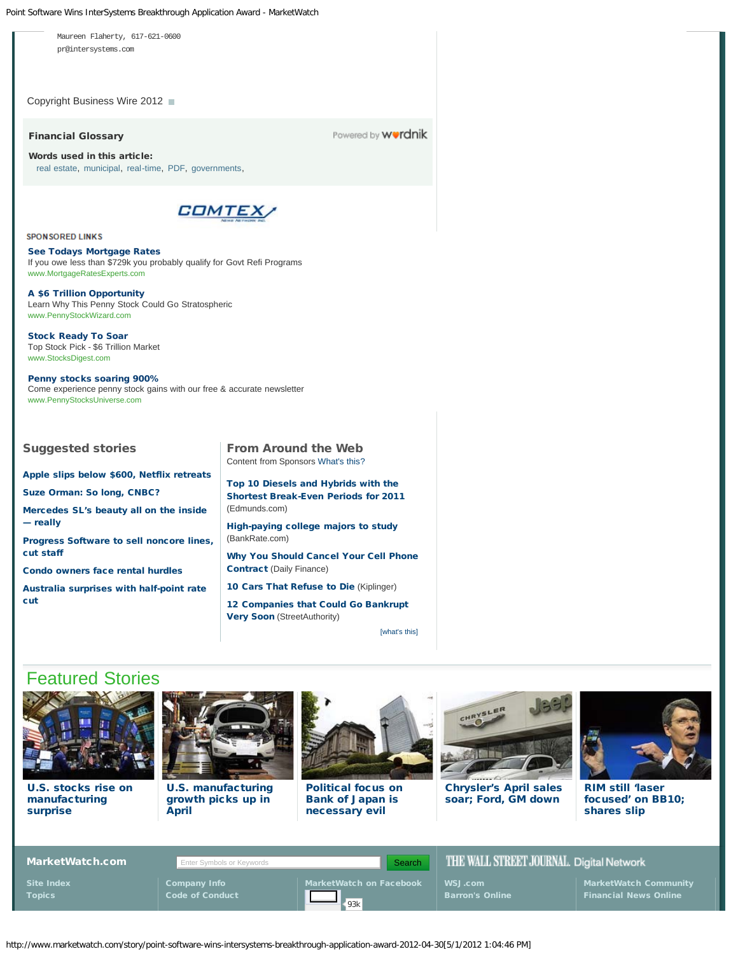Point Software Wins InterSystems Breakthrough Application Award - MarketWatch



[Chrysler's April sales](http://www.marketwatch.com/story/chryslers-april-sales-soar-fords-down-5-2012-05-01?link=MW_story_featstor) [soar; Ford, GM down](http://www.marketwatch.com/story/chryslers-april-sales-soar-fords-down-5-2012-05-01?link=MW_story_featstor)



[RIM still 'laser](http://www.marketwatch.com/story/rim-still-laser-focused-on-bb10-shares-slip-2012-05-01?link=MW_story_featstor) [focused' on BB10;](http://www.marketwatch.com/story/rim-still-laser-focused-on-bb10-shares-slip-2012-05-01?link=MW_story_featstor) [shares slip](http://www.marketwatch.com/story/rim-still-laser-focused-on-bb10-shares-slip-2012-05-01?link=MW_story_featstor)

| MarketWatch.com | Enter Symbols or Keywords | Search                  |                        | THE WALL STREET JOURNAL. Digital Network |  |
|-----------------|---------------------------|-------------------------|------------------------|------------------------------------------|--|
| Site Index      | <b>Company Info</b>       | MarketWatch on Facebook | WSJ.com                | MarketWatch Community                    |  |
| <b>Topics</b>   | <b>Code of Conduct</b>    | 93k                     | <b>Barron's Online</b> | <b>Financial News Online</b>             |  |

http://www.marketwatch.com/story/point-software-wins-intersystems-breakthrough-application-award-2012-04-30[5/1/2012 1:04:46 PM]